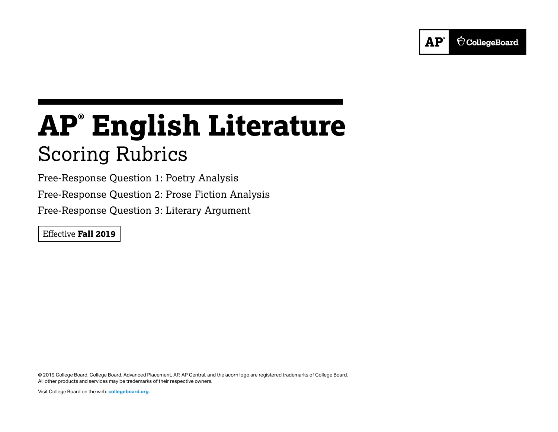

# **AP® English Literature** Scoring Rubrics

Free-Response Question 1: Poetry Analysis Free-Response Question 2: Prose Fiction Analysis Free-Response Question 3: Literary Argument

Effective **Fall 2019**

© 2019 College Board. College Board, Advanced Placement, AP, AP Central, and the acorn logo are registered trademarks of College Board. All other products and services may be trademarks of their respective owners.

Visit College Board on the web: **collegeboard.org**.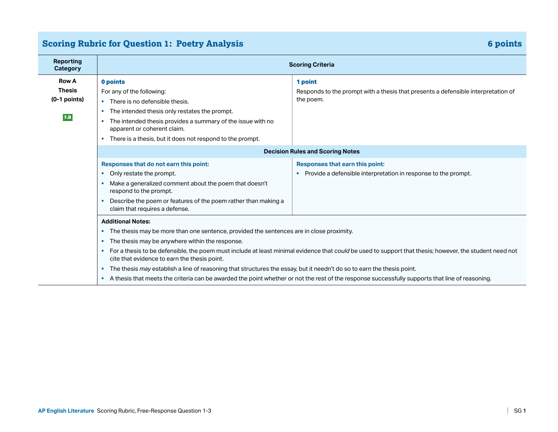# **Scoring Rubric for Question 1: Poetry Analysis 6 points**

| <b>Reporting</b><br><b>Category</b> | <b>Scoring Criteria</b>                                                                                                                                                                                              |                                                                                                                                                 |  |
|-------------------------------------|----------------------------------------------------------------------------------------------------------------------------------------------------------------------------------------------------------------------|-------------------------------------------------------------------------------------------------------------------------------------------------|--|
| <b>Row A</b>                        | 0 points                                                                                                                                                                                                             | 1 point                                                                                                                                         |  |
| <b>Thesis</b>                       | For any of the following:                                                                                                                                                                                            | Responds to the prompt with a thesis that presents a defensible interpretation of                                                               |  |
| $(0-1$ points)                      | • There is no defensible thesis.                                                                                                                                                                                     | the poem.                                                                                                                                       |  |
|                                     | The intended thesis only restates the prompt.<br>$\bullet$                                                                                                                                                           |                                                                                                                                                 |  |
| 7.B                                 | The intended thesis provides a summary of the issue with no<br>$\bullet$<br>apparent or coherent claim.                                                                                                              |                                                                                                                                                 |  |
|                                     | There is a thesis, but it does not respond to the prompt.                                                                                                                                                            |                                                                                                                                                 |  |
|                                     |                                                                                                                                                                                                                      | <b>Decision Rules and Scoring Notes</b>                                                                                                         |  |
|                                     | Responses that do not earn this point:                                                                                                                                                                               | Responses that earn this point:                                                                                                                 |  |
|                                     | Only restate the prompt.<br>$\bullet$                                                                                                                                                                                | Provide a defensible interpretation in response to the prompt.                                                                                  |  |
|                                     | Make a generalized comment about the poem that doesn't<br>respond to the prompt.                                                                                                                                     |                                                                                                                                                 |  |
|                                     | Describe the poem or features of the poem rather than making a<br>claim that requires a defense.                                                                                                                     |                                                                                                                                                 |  |
|                                     | <b>Additional Notes:</b>                                                                                                                                                                                             |                                                                                                                                                 |  |
|                                     | The thesis may be more than one sentence, provided the sentences are in close proximity.<br>$\bullet$                                                                                                                |                                                                                                                                                 |  |
|                                     | The thesis may be anywhere within the response.<br>$\bullet$                                                                                                                                                         |                                                                                                                                                 |  |
|                                     | For a thesis to be defensible, the poem must include at least minimal evidence that could be used to support that thesis; however, the student need not<br>$\bullet$<br>cite that evidence to earn the thesis point. |                                                                                                                                                 |  |
|                                     | The thesis may establish a line of reasoning that structures the essay, but it needn't do so to earn the thesis point.<br>$\bullet$                                                                                  |                                                                                                                                                 |  |
|                                     |                                                                                                                                                                                                                      | A thesis that meets the criteria can be awarded the point whether or not the rest of the response successfully supports that line of reasoning. |  |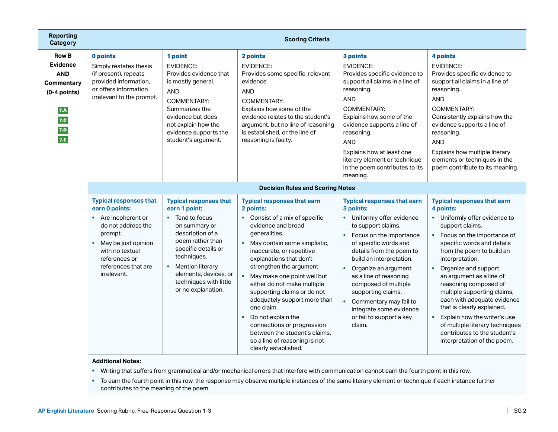| <b>Reporting</b><br><b>Category</b>                                                                       | <b>Scoring Criteria</b>                                                                                                                                                                                               |                                                                                                                                                                                                                                                                      |                                                                                                                                                                                                                                                                                                                                                                                                                                                                                                                                                        |                                                                                                                                                                                                                                                                                                                                                                                                              |                                                                                                                                                                                                                                                                                                                                                                                                                                                                                                                                                        |
|-----------------------------------------------------------------------------------------------------------|-----------------------------------------------------------------------------------------------------------------------------------------------------------------------------------------------------------------------|----------------------------------------------------------------------------------------------------------------------------------------------------------------------------------------------------------------------------------------------------------------------|--------------------------------------------------------------------------------------------------------------------------------------------------------------------------------------------------------------------------------------------------------------------------------------------------------------------------------------------------------------------------------------------------------------------------------------------------------------------------------------------------------------------------------------------------------|--------------------------------------------------------------------------------------------------------------------------------------------------------------------------------------------------------------------------------------------------------------------------------------------------------------------------------------------------------------------------------------------------------------|--------------------------------------------------------------------------------------------------------------------------------------------------------------------------------------------------------------------------------------------------------------------------------------------------------------------------------------------------------------------------------------------------------------------------------------------------------------------------------------------------------------------------------------------------------|
| <b>Row B</b><br><b>Evidence</b><br><b>AND</b><br>Commentary<br>$(0-4$ points)<br>7.A<br>7.C<br>7.D<br>7.E | 0 points<br>Simply restates thesis<br>(if present), repeats<br>provided information,<br>or offers information<br>irrelevant to the prompt.                                                                            | 1 point<br><b>EVIDENCE:</b><br>Provides evidence that<br>is mostly general.<br><b>AND</b><br><b>COMMENTARY:</b><br>Summarizes the<br>evidence but does<br>not explain how the<br>evidence supports the<br>student's argument.                                        | 2 points<br><b>EVIDENCE:</b><br>Provides some specific, relevant<br>evidence.<br><b>AND</b><br>COMMENTARY:<br>Explains how some of the<br>evidence relates to the student's<br>argument, but no line of reasoning<br>is established, or the line of<br>reasoning is faulty.                                                                                                                                                                                                                                                                            | 3 points<br><b>EVIDENCE:</b><br>Provides specific evidence to<br>support all claims in a line of<br>reasoning.<br><b>AND</b><br><b>COMMENTARY:</b><br>Explains how some of the<br>evidence supports a line of<br>reasoning.<br><b>AND</b><br>Explains how at least one<br>literary element or technique<br>in the poem contributes to its<br>meaning.                                                        | 4 points<br><b>EVIDENCE:</b><br>Provides specific evidence to<br>support all claims in a line of<br>reasoning.<br><b>AND</b><br>COMMENTARY:<br>Consistently explains how the<br>evidence supports a line of<br>reasoning.<br><b>AND</b><br>Explains how multiple literary<br>elements or techniques in the<br>poem contribute to its meaning.                                                                                                                                                                                                          |
|                                                                                                           |                                                                                                                                                                                                                       |                                                                                                                                                                                                                                                                      | <b>Decision Rules and Scoring Notes</b>                                                                                                                                                                                                                                                                                                                                                                                                                                                                                                                |                                                                                                                                                                                                                                                                                                                                                                                                              |                                                                                                                                                                                                                                                                                                                                                                                                                                                                                                                                                        |
|                                                                                                           | <b>Typical responses that</b><br>earn 0 points:<br>• Are incoherent or<br>do not address the<br>prompt.<br>May be just opinion<br>$\bullet$<br>with no textual<br>references or<br>references that are<br>irrelevant. | <b>Typical responses that</b><br>earn 1 point:<br>• Tend to focus<br>on summary or<br>description of a<br>poem rather than<br>specific details or<br>techniques.<br><b>Mention literary</b><br>elements, devices, or<br>techniques with little<br>or no explanation. | <b>Typical responses that earn</b><br>2 points:<br>• Consist of a mix of specific<br>evidence and broad<br>generalities.<br>• May contain some simplistic,<br>inaccurate, or repetitive<br>explanations that don't<br>strengthen the argument.<br>• May make one point well but<br>either do not make multiple<br>supporting claims or do not<br>adequately support more than<br>one claim.<br>Do not explain the<br>$\bullet$<br>connections or progression<br>between the student's claims,<br>so a line of reasoning is not<br>clearly established. | <b>Typical responses that earn</b><br>3 points:<br>• Uniformly offer evidence<br>to support claims.<br>Focus on the importance<br>of specific words and<br>details from the poem to<br>build an interpretation.<br>• Organize an argument<br>as a line of reasoning<br>composed of multiple<br>supporting claims.<br>Commentary may fail to<br>integrate some evidence<br>or fail to support a key<br>claim. | <b>Typical responses that earn</b><br>4 points:<br>• Uniformly offer evidence to<br>support claims.<br>Focus on the importance of<br>$\bullet$<br>specific words and details<br>from the poem to build an<br>interpretation.<br>• Organize and support<br>an argument as a line of<br>reasoning composed of<br>multiple supporting claims,<br>each with adequate evidence<br>that is clearly explained.<br>Explain how the writer's use<br>$\bullet$<br>of multiple literary techniques<br>contributes to the student's<br>interpretation of the poem. |

### **Additional Notes:**

**•** Writing that suffers from grammatical and/or mechanical errors that interfere with communication cannot earn the fourth point in this row.

**•** To earn the fourth point in this row, the response may observe multiple instances of the same literary element or technique if each instance further contributes to the meaning of the poem.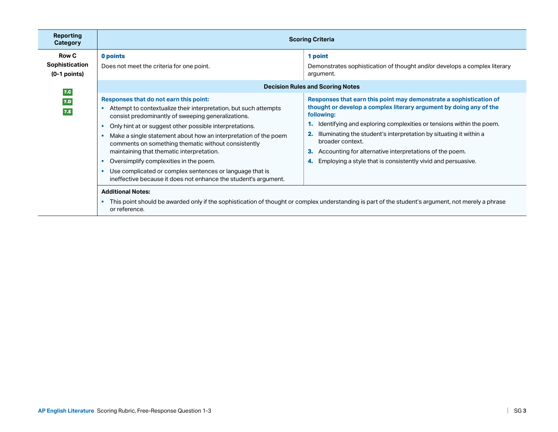| Reporting<br>Category                            | <b>Scoring Criteria</b>                                                                                                                                                                                                                                                                                                                                                                                                                                                                                                                                                     |                                                                                                                                                                                                                                                                                                                                                                                                                                                                                                           |  |
|--------------------------------------------------|-----------------------------------------------------------------------------------------------------------------------------------------------------------------------------------------------------------------------------------------------------------------------------------------------------------------------------------------------------------------------------------------------------------------------------------------------------------------------------------------------------------------------------------------------------------------------------|-----------------------------------------------------------------------------------------------------------------------------------------------------------------------------------------------------------------------------------------------------------------------------------------------------------------------------------------------------------------------------------------------------------------------------------------------------------------------------------------------------------|--|
| <b>Row C</b><br>Sophistication<br>$(0-1$ points) | 0 points<br>Does not meet the criteria for one point.                                                                                                                                                                                                                                                                                                                                                                                                                                                                                                                       | 1 point<br>Demonstrates sophistication of thought and/or develops a complex literary<br>argument.                                                                                                                                                                                                                                                                                                                                                                                                         |  |
| 7.C<br>7.D<br>7.E                                | Responses that do not earn this point:<br>Attempt to contextualize their interpretation, but such attempts<br>consist predominantly of sweeping generalizations.<br>Only hint at or suggest other possible interpretations.<br>Make a single statement about how an interpretation of the poem<br>comments on something thematic without consistently<br>maintaining that thematic interpretation.<br>Oversimplify complexities in the poem.<br>Use complicated or complex sentences or language that is<br>ineffective because it does not enhance the student's argument. | <b>Decision Rules and Scoring Notes</b><br>Responses that earn this point may demonstrate a sophistication of<br>thought or develop a complex literary argument by doing any of the<br>following:<br>Identifying and exploring complexities or tensions within the poem.<br>Illuminating the student's interpretation by situating it within a<br>broader context.<br>Accounting for alternative interpretations of the poem.<br>З.<br>Employing a style that is consistently vivid and persuasive.<br>4. |  |
|                                                  | <b>Additional Notes:</b><br>or reference.                                                                                                                                                                                                                                                                                                                                                                                                                                                                                                                                   | This point should be awarded only if the sophistication of thought or complex understanding is part of the student's argument, not merely a phrase                                                                                                                                                                                                                                                                                                                                                        |  |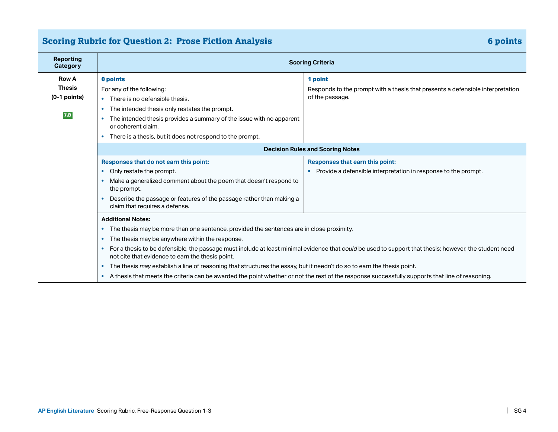## **Scoring Rubric for Question 2: Prose Fiction Analysis 6 and 2012 12: 10:00 Analysis 6 points**

| <b>Reporting</b><br><b>Category</b> | <b>Scoring Criteria</b>                                                                                                                           |                                                                                                                                                          |  |  |
|-------------------------------------|---------------------------------------------------------------------------------------------------------------------------------------------------|----------------------------------------------------------------------------------------------------------------------------------------------------------|--|--|
| <b>Row A</b>                        | 0 points                                                                                                                                          | 1 point                                                                                                                                                  |  |  |
| <b>Thesis</b>                       | For any of the following:                                                                                                                         | Responds to the prompt with a thesis that presents a defensible interpretation                                                                           |  |  |
| $(0-1$ points)                      | There is no defensible thesis.                                                                                                                    | of the passage.                                                                                                                                          |  |  |
|                                     | The intended thesis only restates the prompt.<br>$\bullet$                                                                                        |                                                                                                                                                          |  |  |
| 7.B                                 | The intended thesis provides a summary of the issue with no apparent<br>or coherent claim.                                                        |                                                                                                                                                          |  |  |
|                                     | There is a thesis, but it does not respond to the prompt.                                                                                         |                                                                                                                                                          |  |  |
|                                     |                                                                                                                                                   | <b>Decision Rules and Scoring Notes</b>                                                                                                                  |  |  |
|                                     | Responses that do not earn this point:                                                                                                            | Responses that earn this point:                                                                                                                          |  |  |
|                                     | • Only restate the prompt.                                                                                                                        | Provide a defensible interpretation in response to the prompt.                                                                                           |  |  |
|                                     | Make a generalized comment about the poem that doesn't respond to<br>the prompt.                                                                  |                                                                                                                                                          |  |  |
|                                     | • Describe the passage or features of the passage rather than making a<br>claim that requires a defense.                                          |                                                                                                                                                          |  |  |
|                                     | <b>Additional Notes:</b>                                                                                                                          |                                                                                                                                                          |  |  |
|                                     | The thesis may be more than one sentence, provided the sentences are in close proximity.                                                          |                                                                                                                                                          |  |  |
|                                     | The thesis may be anywhere within the response.<br>$\bullet$                                                                                      |                                                                                                                                                          |  |  |
|                                     | not cite that evidence to earn the thesis point.                                                                                                  | • For a thesis to be defensible, the passage must include at least minimal evidence that could be used to support that thesis; however, the student need |  |  |
|                                     | The thesis may establish a line of reasoning that structures the essay, but it needn't do so to earn the thesis point.<br>$\bullet$               |                                                                                                                                                          |  |  |
|                                     | • A thesis that meets the criteria can be awarded the point whether or not the rest of the response successfully supports that line of reasoning. |                                                                                                                                                          |  |  |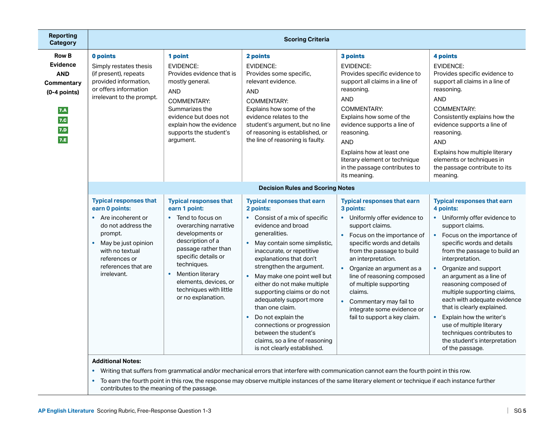| Reporting<br><b>Category</b>                                                                                     | <b>Scoring Criteria</b>                                                                                                                                                                                                          |                                                                                                                                                                                                                                                                                                             |                                                                                                                                                                                                                                                                                                                                                                                                                                                                                                                                                        |                                                                                                                                                                                                                                                                                                                                                                                                            |                                                                                                                                                                                                                                                                                                                                                                                                                                                                                                                                       |
|------------------------------------------------------------------------------------------------------------------|----------------------------------------------------------------------------------------------------------------------------------------------------------------------------------------------------------------------------------|-------------------------------------------------------------------------------------------------------------------------------------------------------------------------------------------------------------------------------------------------------------------------------------------------------------|--------------------------------------------------------------------------------------------------------------------------------------------------------------------------------------------------------------------------------------------------------------------------------------------------------------------------------------------------------------------------------------------------------------------------------------------------------------------------------------------------------------------------------------------------------|------------------------------------------------------------------------------------------------------------------------------------------------------------------------------------------------------------------------------------------------------------------------------------------------------------------------------------------------------------------------------------------------------------|---------------------------------------------------------------------------------------------------------------------------------------------------------------------------------------------------------------------------------------------------------------------------------------------------------------------------------------------------------------------------------------------------------------------------------------------------------------------------------------------------------------------------------------|
| <b>Row B</b><br><b>Evidence</b><br><b>AND</b><br><b>Commentary</b><br>$(0-4$ points)<br>7.A<br>7.C<br>7.D<br>7.E | 0 points<br>Simply restates thesis<br>(if present), repeats<br>provided information,<br>or offers information<br>irrelevant to the prompt.                                                                                       | 1 point<br><b>EVIDENCE:</b><br>Provides evidence that is<br>mostly general.<br><b>AND</b><br><b>COMMENTARY:</b><br>Summarizes the<br>evidence but does not<br>explain how the evidence<br>supports the student's<br>argument.                                                                               | 2 points<br><b>EVIDENCE:</b><br>Provides some specific,<br>relevant evidence.<br><b>AND</b><br><b>COMMENTARY:</b><br>Explains how some of the<br>evidence relates to the<br>student's argument, but no line<br>of reasoning is established, or<br>the line of reasoning is faulty.                                                                                                                                                                                                                                                                     | 3 points<br><b>EVIDENCE:</b><br>Provides specific evidence to<br>support all claims in a line of<br>reasoning.<br><b>AND</b><br>COMMENTARY:<br>Explains how some of the<br>evidence supports a line of<br>reasoning.<br><b>AND</b><br>Explains how at least one<br>literary element or technique<br>in the passage contributes to<br>its meaning.                                                          | 4 points<br><b>EVIDENCE:</b><br>Provides specific evidence to<br>support all claims in a line of<br>reasoning.<br><b>AND</b><br>COMMENTARY:<br>Consistently explains how the<br>evidence supports a line of<br>reasoning.<br><b>AND</b><br>Explains how multiple literary<br>elements or techniques in<br>the passage contribute to its<br>meaning.                                                                                                                                                                                   |
|                                                                                                                  |                                                                                                                                                                                                                                  |                                                                                                                                                                                                                                                                                                             | <b>Decision Rules and Scoring Notes</b>                                                                                                                                                                                                                                                                                                                                                                                                                                                                                                                |                                                                                                                                                                                                                                                                                                                                                                                                            |                                                                                                                                                                                                                                                                                                                                                                                                                                                                                                                                       |
|                                                                                                                  | <b>Typical responses that</b><br>earn 0 points:<br>Are incoherent or<br>$\bullet$<br>do not address the<br>prompt.<br>May be just opinion<br>$\bullet$<br>with no textual<br>references or<br>references that are<br>irrelevant. | <b>Typical responses that</b><br>earn 1 point:<br>• Tend to focus on<br>overarching narrative<br>developments or<br>description of a<br>passage rather than<br>specific details or<br>techniques.<br>Mention literary<br>$\bullet$<br>elements, devices, or<br>techniques with little<br>or no explanation. | <b>Typical responses that earn</b><br>2 points:<br>• Consist of a mix of specific<br>evidence and broad<br>generalities.<br>• May contain some simplistic,<br>inaccurate, or repetitive<br>explanations that don't<br>strengthen the argument.<br>• May make one point well but<br>either do not make multiple<br>supporting claims or do not<br>adequately support more<br>than one claim.<br>Do not explain the<br>$\bullet$<br>connections or progression<br>between the student's<br>claims, so a line of reasoning<br>is not clearly established. | <b>Typical responses that earn</b><br>3 points:<br>• Uniformly offer evidence to<br>support claims.<br>Focus on the importance of<br>specific words and details<br>from the passage to build<br>an interpretation.<br>Organize an argument as a<br>line of reasoning composed<br>of multiple supporting<br>claims.<br>Commentary may fail to<br>integrate some evidence or<br>fail to support a key claim. | <b>Typical responses that earn</b><br>4 points:<br>• Uniformly offer evidence to<br>support claims.<br>Focus on the importance of<br>specific words and details<br>from the passage to build an<br>interpretation.<br>• Organize and support<br>an argument as a line of<br>reasoning composed of<br>multiple supporting claims,<br>each with adequate evidence<br>that is clearly explained.<br>Explain how the writer's<br>use of multiple literary<br>techniques contributes to<br>the student's interpretation<br>of the passage. |

#### **Additional Notes:**

**•** Writing that suffers from grammatical and/or mechanical errors that interfere with communication cannot earn the fourth point in this row.

**•** To earn the fourth point in this row, the response may observe multiple instances of the same literary element or technique if each instance further contributes to the meaning of the passage.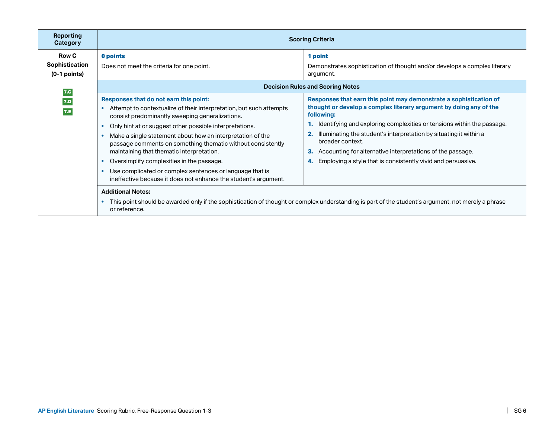| Reporting<br>Category                            | <b>Scoring Criteria</b>                                                                                                                                                                                                                                                                                                                                                                                                                                                                                                                                                                                                      |                                                                                                                                                                                                                                                                                                                                                                                                                                                                      |  |
|--------------------------------------------------|------------------------------------------------------------------------------------------------------------------------------------------------------------------------------------------------------------------------------------------------------------------------------------------------------------------------------------------------------------------------------------------------------------------------------------------------------------------------------------------------------------------------------------------------------------------------------------------------------------------------------|----------------------------------------------------------------------------------------------------------------------------------------------------------------------------------------------------------------------------------------------------------------------------------------------------------------------------------------------------------------------------------------------------------------------------------------------------------------------|--|
| <b>Row C</b><br>Sophistication<br>$(0-1$ points) | 0 points<br>Does not meet the criteria for one point.                                                                                                                                                                                                                                                                                                                                                                                                                                                                                                                                                                        | 1 point<br>Demonstrates sophistication of thought and/or develops a complex literary<br>argument.                                                                                                                                                                                                                                                                                                                                                                    |  |
| 7.C<br>7.D<br>7.E                                | <b>Decision Rules and Scoring Notes</b><br>Responses that do not earn this point:<br>Attempt to contextualize of their interpretation, but such attempts<br>consist predominantly sweeping generalizations.<br>Only hint at or suggest other possible interpretations.<br>Make a single statement about how an interpretation of the<br>passage comments on something thematic without consistently<br>maintaining that thematic interpretation.<br>Oversimplify complexities in the passage.<br>Use complicated or complex sentences or language that is<br>ineffective because it does not enhance the student's argument. | Responses that earn this point may demonstrate a sophistication of<br>thought or develop a complex literary argument by doing any of the<br>following:<br>Identifying and exploring complexities or tensions within the passage.<br>Illuminating the student's interpretation by situating it within a<br>broader context.<br>Accounting for alternative interpretations of the passage.<br>З.<br>Employing a style that is consistently vivid and persuasive.<br>4. |  |
|                                                  | <b>Additional Notes:</b><br>or reference.                                                                                                                                                                                                                                                                                                                                                                                                                                                                                                                                                                                    | This point should be awarded only if the sophistication of thought or complex understanding is part of the student's argument, not merely a phrase                                                                                                                                                                                                                                                                                                                   |  |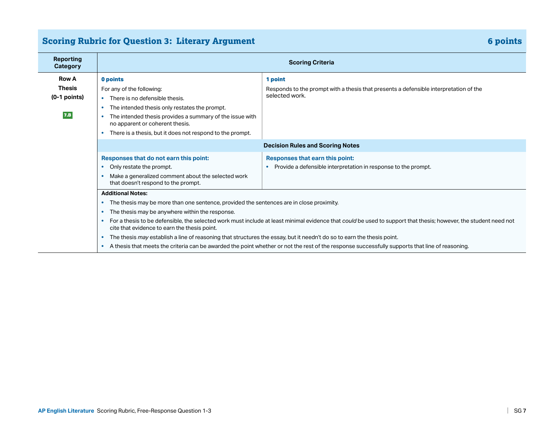## **Scoring Rubric for Question 3: Literary Argument 6 points** 6 points 6 points

| <b>Reporting</b><br>Category           | <b>Scoring Criteria</b>                                                                                                                                                                                                                                                                                                                                                                                                                                                                                                                                                                                                                                                                                                      |                                                                                                         |  |
|----------------------------------------|------------------------------------------------------------------------------------------------------------------------------------------------------------------------------------------------------------------------------------------------------------------------------------------------------------------------------------------------------------------------------------------------------------------------------------------------------------------------------------------------------------------------------------------------------------------------------------------------------------------------------------------------------------------------------------------------------------------------------|---------------------------------------------------------------------------------------------------------|--|
| <b>Row A</b>                           | 0 points                                                                                                                                                                                                                                                                                                                                                                                                                                                                                                                                                                                                                                                                                                                     | 1 point                                                                                                 |  |
| <b>Thesis</b><br>$(0-1$ points)<br>7.B | For any of the following:<br>There is no defensible thesis.<br>$\bullet$<br>The intended thesis only restates the prompt.<br>٠<br>The intended thesis provides a summary of the issue with<br>$\bullet$<br>no apparent or coherent thesis.<br>There is a thesis, but it does not respond to the prompt.                                                                                                                                                                                                                                                                                                                                                                                                                      | Responds to the prompt with a thesis that presents a defensible interpretation of the<br>selected work. |  |
|                                        | <b>Decision Rules and Scoring Notes</b>                                                                                                                                                                                                                                                                                                                                                                                                                                                                                                                                                                                                                                                                                      |                                                                                                         |  |
|                                        | Responses that do not earn this point:<br>Only restate the prompt.<br>$\bullet$<br>Make a generalized comment about the selected work<br>that doesn't respond to the prompt.                                                                                                                                                                                                                                                                                                                                                                                                                                                                                                                                                 | Responses that earn this point:<br>Provide a defensible interpretation in response to the prompt.       |  |
|                                        | <b>Additional Notes:</b><br>The thesis may be more than one sentence, provided the sentences are in close proximity.<br>$\bullet$<br>The thesis may be anywhere within the response.<br>$\bullet$<br>For a thesis to be defensible, the selected work must include at least minimal evidence that could be used to support that thesis; however, the student need not<br>$\bullet$<br>cite that evidence to earn the thesis point.<br>The thesis may establish a line of reasoning that structures the essay, but it needn't do so to earn the thesis point.<br>$\bullet$<br>A thesis that meets the criteria can be awarded the point whether or not the rest of the response successfully supports that line of reasoning. |                                                                                                         |  |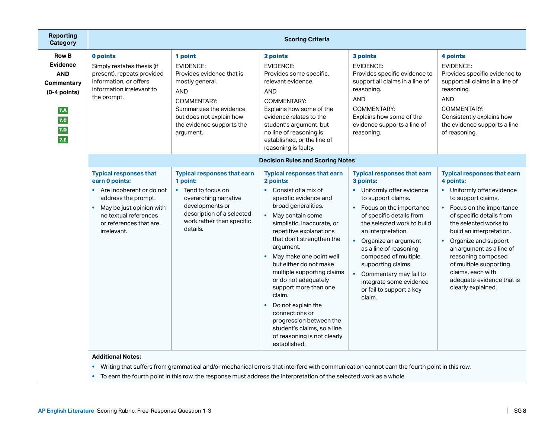| <b>Reporting</b><br><b>Category</b>                                                                       | <b>Scoring Criteria</b>                                                                                                                                                                                         |                                                                                                                                                                                                                  |                                                                                                                                                                                                                                                                                                                                                                                                                                                                                                                                                                          |                                                                                                                                                                                                                                                                                                                                                                                                                          |                                                                                                                                                                                                                                                                                                                                                                                                 |
|-----------------------------------------------------------------------------------------------------------|-----------------------------------------------------------------------------------------------------------------------------------------------------------------------------------------------------------------|------------------------------------------------------------------------------------------------------------------------------------------------------------------------------------------------------------------|--------------------------------------------------------------------------------------------------------------------------------------------------------------------------------------------------------------------------------------------------------------------------------------------------------------------------------------------------------------------------------------------------------------------------------------------------------------------------------------------------------------------------------------------------------------------------|--------------------------------------------------------------------------------------------------------------------------------------------------------------------------------------------------------------------------------------------------------------------------------------------------------------------------------------------------------------------------------------------------------------------------|-------------------------------------------------------------------------------------------------------------------------------------------------------------------------------------------------------------------------------------------------------------------------------------------------------------------------------------------------------------------------------------------------|
| <b>Row B</b><br><b>Evidence</b><br><b>AND</b><br>Commentary<br>$(0-4$ points)<br>7.A<br>7.C<br>7.D<br>7.E | 0 points<br>Simply restates thesis (if<br>present), repeats provided<br>information, or offers<br>information irrelevant to<br>the prompt.                                                                      | 1 point<br><b>EVIDENCE:</b><br>Provides evidence that is<br>mostly general.<br><b>AND</b><br><b>COMMENTARY:</b><br>Summarizes the evidence<br>but does not explain how<br>the evidence supports the<br>argument. | 2 points<br><b>EVIDENCE:</b><br>Provides some specific,<br>relevant evidence.<br><b>AND</b><br><b>COMMENTARY:</b><br>Explains how some of the<br>evidence relates to the<br>student's argument, but<br>no line of reasoning is<br>established, or the line of<br>reasoning is faulty.                                                                                                                                                                                                                                                                                    | 3 points<br><b>EVIDENCE:</b><br>Provides specific evidence to<br>support all claims in a line of<br>reasoning.<br><b>AND</b><br>COMMENTARY:<br>Explains how some of the<br>evidence supports a line of<br>reasoning.                                                                                                                                                                                                     | 4 points<br><b>EVIDENCE:</b><br>Provides specific evidence to<br>support all claims in a line of<br>reasoning.<br><b>AND</b><br>COMMENTARY:<br>Consistently explains how<br>the evidence supports a line<br>of reasoning.                                                                                                                                                                       |
|                                                                                                           | <b>Decision Rules and Scoring Notes</b>                                                                                                                                                                         |                                                                                                                                                                                                                  |                                                                                                                                                                                                                                                                                                                                                                                                                                                                                                                                                                          |                                                                                                                                                                                                                                                                                                                                                                                                                          |                                                                                                                                                                                                                                                                                                                                                                                                 |
|                                                                                                           | <b>Typical responses that</b><br>earn 0 points:<br>• Are incoherent or do not<br>address the prompt.<br>May be just opinion with<br>$\bullet$<br>no textual references<br>or references that are<br>irrelevant. | <b>Typical responses that earn</b><br>1 point:<br>• Tend to focus on<br>overarching narrative<br>developments or<br>description of a selected<br>work rather than specific<br>details.                           | <b>Typical responses that earn</b><br>2 points:<br>• Consist of a mix of<br>specific evidence and<br>broad generalities.<br>May contain some<br>$\bullet$<br>simplistic, inaccurate, or<br>repetitive explanations<br>that don't strengthen the<br>argument.<br>May make one point well<br>but either do not make<br>multiple supporting claims<br>or do not adequately<br>support more than one<br>claim.<br>Do not explain the<br>$\bullet$<br>connections or<br>progression between the<br>student's claims, so a line<br>of reasoning is not clearly<br>established. | <b>Typical responses that earn</b><br>3 points:<br>• Uniformly offer evidence<br>to support claims.<br>Focus on the importance<br>$\bullet$<br>of specific details from<br>the selected work to build<br>an interpretation.<br>• Organize an argument<br>as a line of reasoning<br>composed of multiple<br>supporting claims.<br>Commentary may fail to<br>integrate some evidence<br>or fail to support a key<br>claim. | <b>Typical responses that earn</b><br>4 points:<br>• Uniformly offer evidence<br>to support claims.<br>• Focus on the importance<br>of specific details from<br>the selected works to<br>build an interpretation.<br>• Organize and support<br>an argument as a line of<br>reasoning composed<br>of multiple supporting<br>claims, each with<br>adequate evidence that is<br>clearly explained. |

**•** Writing that suffers from grammatical and/or mechanical errors that interfere with communication cannot earn the fourth point in this row.

**•** To earn the fourth point in this row, the response must address the interpretation of the selected work as a whole.